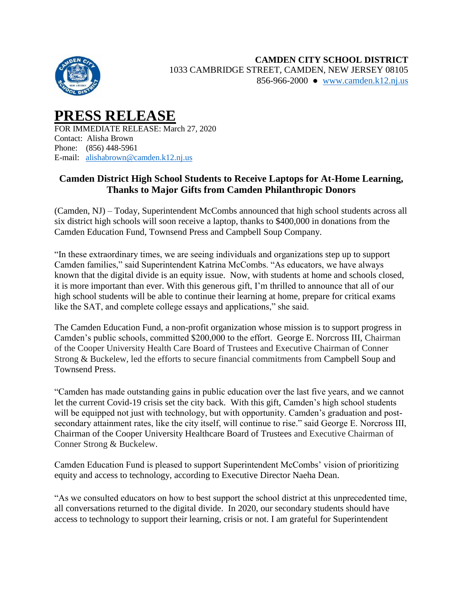

## **PRESS RELEASE** FOR IMMEDIATE RELEASE: March 27, 2020 Contact: Alisha Brown Phone: (856) 448-5961

E-mail: [alishabrown@camden.k12.nj.us](mailto:alishabrown@camden.k12.nj.us)

## **Camden District High School Students to Receive Laptops for At-Home Learning, Thanks to Major Gifts from Camden Philanthropic Donors**

(Camden, NJ) – Today, Superintendent McCombs announced that high school students across all six district high schools will soon receive a laptop, thanks to \$400,000 in donations from the Camden Education Fund, Townsend Press and Campbell Soup Company.

"In these extraordinary times, we are seeing individuals and organizations step up to support Camden families," said Superintendent Katrina McCombs. "As educators, we have always known that the digital divide is an equity issue. Now, with students at home and schools closed, it is more important than ever. With this generous gift, I'm thrilled to announce that all of our high school students will be able to continue their learning at home, prepare for critical exams like the SAT, and complete college essays and applications," she said.

The Camden Education Fund, a non-profit organization whose mission is to support progress in Camden's public schools, committed \$200,000 to the effort. George E. Norcross III, Chairman of the Cooper University Health Care Board of Trustees and Executive Chairman of Conner Strong & Buckelew, led the efforts to secure financial commitments from Campbell Soup and Townsend Press.

"Camden has made outstanding gains in public education over the last five years, and we cannot let the current Covid-19 crisis set the city back. With this gift, Camden's high school students will be equipped not just with technology, but with opportunity. Camden's graduation and postsecondary attainment rates, like the city itself, will continue to rise." said George E. Norcross III, Chairman of the Cooper University Healthcare Board of Trustees and Executive Chairman of Conner Strong & Buckelew.

Camden Education Fund is pleased to support Superintendent McCombs' vision of prioritizing equity and access to technology, according to Executive Director Naeha Dean.

"As we consulted educators on how to best support the school district at this unprecedented time, all conversations returned to the digital divide. In 2020, our secondary students should have access to technology to support their learning, crisis or not. I am grateful for Superintendent